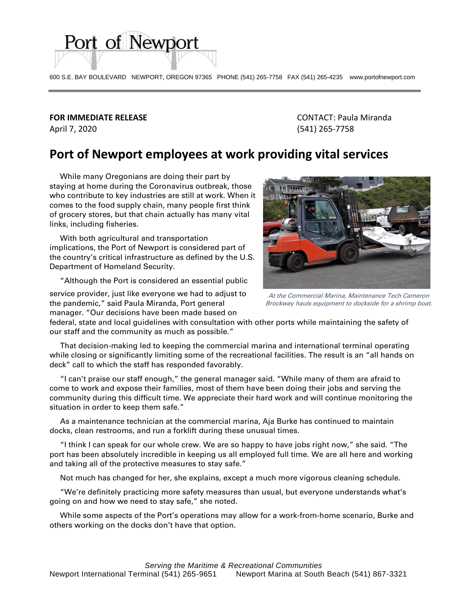600 S.E. BAY BOULEVARD NEWPORT, OREGON 97365 PHONE (541) 265-7758 FAX (541) 265-4235 www.portofnewport.com

## April 7, 2020 (541) 265-7758

Port of Newport

**FOR IMMEDIATE RELEASE** CONTACT: Paula Miranda

## **Port of Newport employees at work providing vital services**

 While many Oregonians are doing their part by staying at home during the Coronavirus outbreak, those who contribute to key industries are still at work. When it comes to the food supply chain, many people first think of grocery stores, but that chain actually has many vital links, including fisheries.

 With both agricultural and transportation implications, the Port of Newport is considered part of the country's critical infrastructure as defined by the U.S. Department of Homeland Security.

"Although the Port is considered an essential public

service provider, just like everyone we had to adjust to the pandemic," said Paula Miranda, Port general manager. "Our decisions have been made based on



At the Commercial Marina, Maintenance Tech Cameron Brockway hauls equipment to dockside for a shrimp boat.

federal, state and local guidelines with consultation with other ports while maintaining the safety of our staff and the community as much as possible."

 That decision-making led to keeping the commercial marina and international terminal operating while closing or significantly limiting some of the recreational facilities. The result is an "all hands on deck" call to which the staff has responded favorably.

 "I can't praise our staff enough," the general manager said. "While many of them are afraid to come to work and expose their families, most of them have been doing their jobs and serving the community during this difficult time. We appreciate their hard work and will continue monitoring the situation in order to keep them safe."

 As a maintenance technician at the commercial marina, Aja Burke has continued to maintain docks, clean restrooms, and run a forklift during these unusual times.

 "I think I can speak for our whole crew. We are so happy to have jobs right now," she said. "The port has been absolutely incredible in keeping us all employed full time. We are all here and working and taking all of the protective measures to stay safe."

Not much has changed for her, she explains, except a much more vigorous cleaning schedule.

 "We're definitely practicing more safety measures than usual, but everyone understands what's going on and how we need to stay safe," she noted.

 While some aspects of the Port's operations may allow for a work-from-home scenario, Burke and others working on the docks don't have that option.